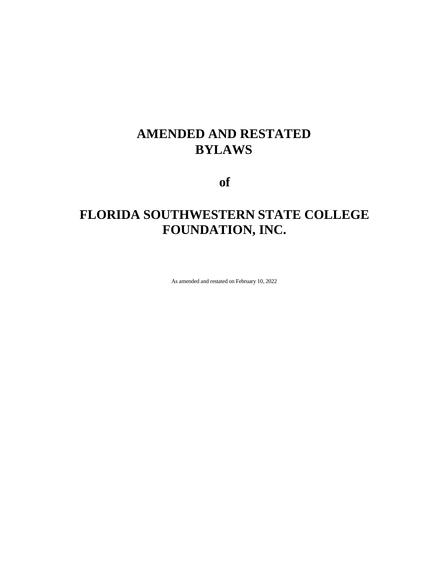## **AMENDED AND RESTATED BYLAWS**

**of**

# **FLORIDA SOUTHWESTERN STATE COLLEGE FOUNDATION, INC.**

As amended and restated on February 10, 2022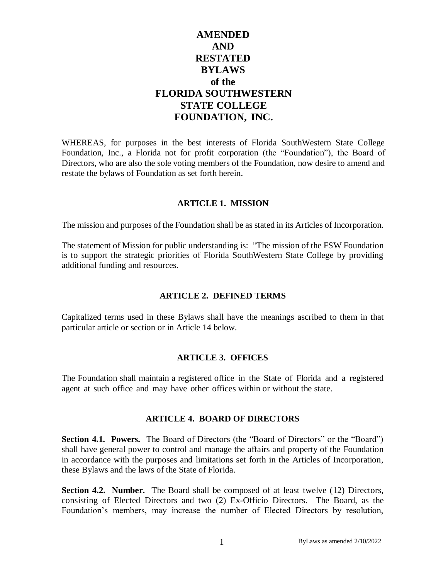## **AMENDED AND RESTATED BYLAWS of the FLORIDA SOUTHWESTERN STATE COLLEGE FOUNDATION, INC.**

WHEREAS, for purposes in the best interests of Florida SouthWestern State College Foundation, Inc., a Florida not for profit corporation (the "Foundation"), the Board of Directors, who are also the sole voting members of the Foundation, now desire to amend and restate the bylaws of Foundation as set forth herein.

#### **ARTICLE 1. MISSION**

The mission and purposes of the Foundation shall be as stated in its Articles of Incorporation.

The statement of Mission for public understanding is: "The mission of the FSW Foundation is to support the strategic priorities of Florida SouthWestern State College by providing additional funding and resources.

#### **ARTICLE 2. DEFINED TERMS**

Capitalized terms used in these Bylaws shall have the meanings ascribed to them in that particular article or section or in Article 14 below.

#### **ARTICLE 3. OFFICES**

The Foundation shall maintain a registered office in the State of Florida and a registered agent at such office and may have other offices within or without the state.

#### **ARTICLE 4. BOARD OF DIRECTORS**

**Section 4.1. Powers.** The Board of Directors (the "Board of Directors" or the "Board") shall have general power to control and manage the affairs and property of the Foundation in accordance with the purposes and limitations set forth in the Articles of Incorporation, these Bylaws and the laws of the State of Florida.

**Section 4.2. Number.** The Board shall be composed of at least twelve (12) Directors, consisting of Elected Directors and two (2) Ex-Officio Directors. The Board, as the Foundation's members, may increase the number of Elected Directors by resolution,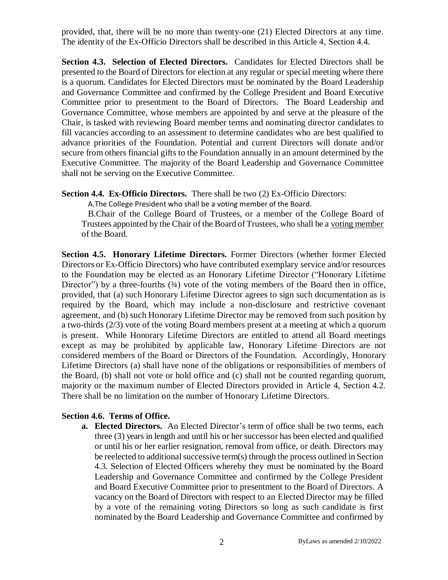provided, that, there will be no more than twenty-one (21) Elected Directors at any time. The identity of the Ex-Officio Directors shall be described in this Article 4, Section 4.4.

**Section 4.3. Selection of Elected Directors.** Candidates for Elected Directors shall be presented to the Board of Directors for election at any regular or special meeting where there is a quorum. Candidates for Elected Directors must be nominated by the Board Leadership and Governance Committee and confirmed by the College President and Board Executive Committee prior to presentment to the Board of Directors. The Board Leadership and Governance Committee, whose members are appointed by and serve at the pleasure of the Chair, is tasked with reviewing Board member terms and nominating director candidates to fill vacancies according to an assessment to determine candidates who are best qualified to advance priorities of the Foundation. Potential and current Directors will donate and/or secure from others financial gifts to the Foundation annually in an amount determined by the Executive Committee. The majority of the Board Leadership and Governance Committee shall not be serving on the Executive Committee.

**Section 4.4. Ex-Officio Directors.** There shall be two (2) Ex-Officio Directors:

A.The College President who shall be a voting member of the Board.

B.Chair of the College Board of Trustees, or a member of the College Board of Trustees appointed by the Chair of the Board of Trustees, who shall be a voting member of the Board.

**Section 4.5. Honorary Lifetime Directors.** Former Directors (whether former Elected Directors or Ex-Officio Directors) who have contributed exemplary service and/or resources to the Foundation may be elected as an Honorary Lifetime Director ("Honorary Lifetime Director") by a three-fourths (34) vote of the voting members of the Board then in office, provided, that (a) such Honorary Lifetime Director agrees to sign such documentation as is required by the Board, which may include a non-disclosure and restrictive covenant agreement, and (b) such Honorary Lifetime Director may be removed from such position by a two-thirds (2/3) vote of the voting Board members present at a meeting at which a quorum is present. While Honorary Lifetime Directors are entitled to attend all Board meetings except as may be prohibited by applicable law, Honorary Lifetime Directors are not considered members of the Board or Directors of the Foundation. Accordingly, Honorary Lifetime Directors (a) shall have none of the obligations or responsibilities of members of the Board, (b) shall not vote or hold office and (c) shall not be counted regarding quorum, majority or the maximum number of Elected Directors provided in Article 4, Section 4.2. There shall be no limitation on the number of Honorary Lifetime Directors.

#### **Section 4.6. Terms of Office.**

**a. Elected Directors.** An Elected Director's term of office shall be two terms, each three (3) years in length and until his or her successor has been elected and qualified or until his or her earlier resignation, removal from office, or death. Directors may be reelected to additional successive term(s) through the process outlined in Section 4.3. Selection of Elected Officers whereby they must be nominated by the Board Leadership and Governance Committee and confirmed by the College President and Board Executive Committee prior to presentment to the Board of Directors. A vacancy on the Board of Directors with respect to an Elected Director may be filled by a vote of the remaining voting Directors so long as such candidate is first nominated by the Board Leadership and Governance Committee and confirmed by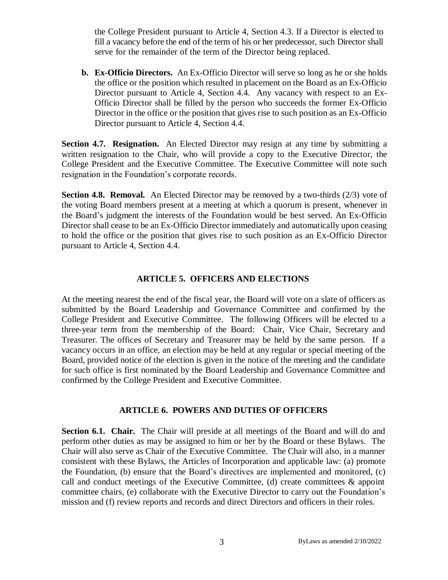the College President pursuant to Article 4, Section 4.3. If a Director is elected to fill a vacancy before the end of the term of his or her predecessor, such Director shall serve for the remainder of the term of the Director being replaced.

**b. Ex-Officio Directors.** An Ex-Officio Director will serve so long as he or she holds the office or the position which resulted in placement on the Board as an Ex-Officio Director pursuant to Article 4, Section 4.4. Any vacancy with respect to an Ex-Officio Director shall be filled by the person who succeeds the former Ex-Officio Director in the office or the position that gives rise to such position as an Ex-Officio Director pursuant to Article 4, Section 4.4.

**Section 4.7. Resignation.** An Elected Director may resign at any time by submitting a written resignation to the Chair, who will provide a copy to the Executive Director, the College President and the Executive Committee. The Executive Committee will note such resignation in the Foundation's corporate records.

**Section 4.8. Removal.** An Elected Director may be removed by a two-thirds (2/3) vote of the voting Board members present at a meeting at which a quorum is present, whenever in the Board's judgment the interests of the Foundation would be best served. An Ex-Officio Director shall cease to be an Ex-Officio Director immediately and automatically upon ceasing to hold the office or the position that gives rise to such position as an Ex-Officio Director pursuant to Article 4, Section 4.4.

#### **ARTICLE 5. OFFICERS AND ELECTIONS**

At the meeting nearest the end of the fiscal year, the Board will vote on a slate of officers as submitted by the Board Leadership and Governance Committee and confirmed by the College President and Executive Committee. The following Officers will be elected to a three-year term from the membership of the Board: Chair, Vice Chair, Secretary and Treasurer. The offices of Secretary and Treasurer may be held by the same person. If a vacancy occurs in an office, an election may be held at any regular or special meeting of the Board, provided notice of the election is given in the notice of the meeting and the candidate for such office is first nominated by the Board Leadership and Governance Committee and confirmed by the College President and Executive Committee.

#### **ARTICLE 6. POWERS AND DUTIES OF OFFICERS**

**Section 6.1. Chair.** The Chair will preside at all meetings of the Board and will do and perform other duties as may be assigned to him or her by the Board or these Bylaws. The Chair will also serve as Chair of the Executive Committee. The Chair will also, in a manner consistent with these Bylaws, the Articles of Incorporation and applicable law: (a) promote the Foundation, (b) ensure that the Board's directives are implemented and monitored, (c) call and conduct meetings of the Executive Committee, (d) create committees & appoint committee chairs, (e) collaborate with the Executive Director to carry out the Foundation's mission and (f) review reports and records and direct Directors and officers in their roles.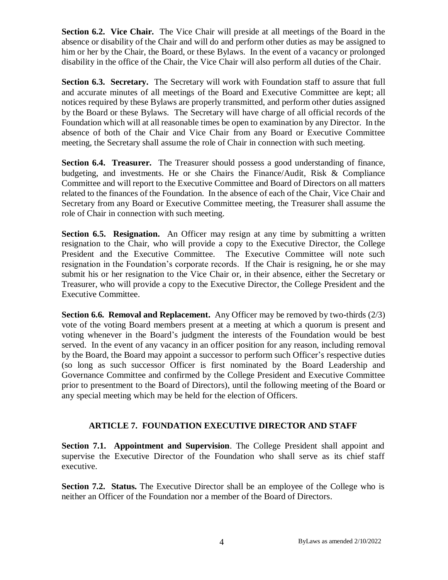**Section 6.2. Vice Chair.** The Vice Chair will preside at all meetings of the Board in the absence or disability of the Chair and will do and perform other duties as may be assigned to him or her by the Chair, the Board, or these Bylaws. In the event of a vacancy or prolonged disability in the office of the Chair, the Vice Chair will also perform all duties of the Chair.

**Section 6.3. Secretary.** The Secretary will work with Foundation staff to assure that full and accurate minutes of all meetings of the Board and Executive Committee are kept; all notices required by these Bylaws are properly transmitted, and perform other duties assigned by the Board or these Bylaws. The Secretary will have charge of all official records of the Foundation which will at all reasonable times be open to examination by any Director. In the absence of both of the Chair and Vice Chair from any Board or Executive Committee meeting, the Secretary shall assume the role of Chair in connection with such meeting.

**Section 6.4. Treasurer.** The Treasurer should possess a good understanding of finance, budgeting, and investments. He or she Chairs the Finance/Audit, Risk & Compliance Committee and will report to the Executive Committee and Board of Directors on all matters related to the finances of the Foundation. In the absence of each of the Chair, Vice Chair and Secretary from any Board or Executive Committee meeting, the Treasurer shall assume the role of Chair in connection with such meeting.

**Section 6.5. Resignation.** An Officer may resign at any time by submitting a written resignation to the Chair, who will provide a copy to the Executive Director, the College President and the Executive Committee. The Executive Committee will note such resignation in the Foundation's corporate records. If the Chair is resigning, he or she may submit his or her resignation to the Vice Chair or, in their absence, either the Secretary or Treasurer, who will provide a copy to the Executive Director, the College President and the Executive Committee.

**Section 6.6. Removal and Replacement.** Any Officer may be removed by two-thirds (2/3) vote of the voting Board members present at a meeting at which a quorum is present and voting whenever in the Board's judgment the interests of the Foundation would be best served. In the event of any vacancy in an officer position for any reason, including removal by the Board, the Board may appoint a successor to perform such Officer's respective duties (so long as such successor Officer is first nominated by the Board Leadership and Governance Committee and confirmed by the College President and Executive Committee prior to presentment to the Board of Directors), until the following meeting of the Board or any special meeting which may be held for the election of Officers.

## **ARTICLE 7. FOUNDATION EXECUTIVE DIRECTOR AND STAFF**

**Section 7.1. Appointment and Supervision**. The College President shall appoint and supervise the Executive Director of the Foundation who shall serve as its chief staff executive.

**Section 7.2. Status.** The Executive Director shall be an employee of the College who is neither an Officer of the Foundation nor a member of the Board of Directors.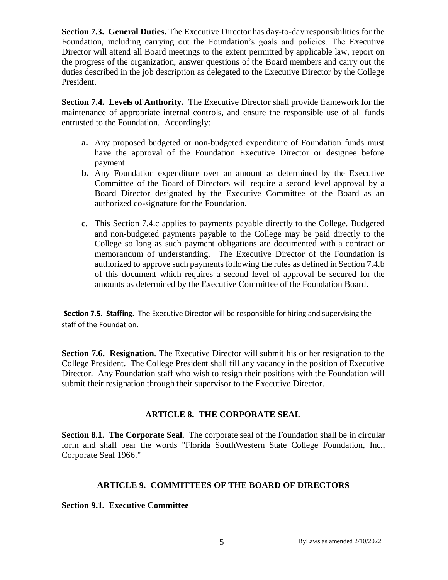**Section 7.3. General Duties.** The Executive Director has day-to-day responsibilities for the Foundation, including carrying out the Foundation's goals and policies. The Executive Director will attend all Board meetings to the extent permitted by applicable law, report on the progress of the organization, answer questions of the Board members and carry out the duties described in the job description as delegated to the Executive Director by the College President.

**Section 7.4. Levels of Authority.** The Executive Director shall provide framework for the maintenance of appropriate internal controls, and ensure the responsible use of all funds entrusted to the Foundation. Accordingly:

- **a.** Any proposed budgeted or non-budgeted expenditure of Foundation funds must have the approval of the Foundation Executive Director or designee before payment.
- **b.** Any Foundation expenditure over an amount as determined by the Executive Committee of the Board of Directors will require a second level approval by a Board Director designated by the Executive Committee of the Board as an authorized co-signature for the Foundation.
- **c.** This Section 7.4.c applies to payments payable directly to the College. Budgeted and non-budgeted payments payable to the College may be paid directly to the College so long as such payment obligations are documented with a contract or memorandum of understanding. The Executive Director of the Foundation is authorized to approve such payments following the rules as defined in Section 7.4.b of this document which requires a second level of approval be secured for the amounts as determined by the Executive Committee of the Foundation Board.

**Section 7.5. Staffing.** The Executive Director will be responsible for hiring and supervising the staff of the Foundation.

**Section 7.6. Resignation**. The Executive Director will submit his or her resignation to the College President. The College President shall fill any vacancy in the position of Executive Director. Any Foundation staff who wish to resign their positions with the Foundation will submit their resignation through their supervisor to the Executive Director.

## **ARTICLE 8. THE CORPORATE SEAL**

**Section 8.1. The Corporate Seal.** The corporate seal of the Foundation shall be in circular form and shall bear the words "Florida SouthWestern State College Foundation, Inc., Corporate Seal 1966."

## **ARTICLE 9. COMMITTEES OF THE BOARD OF DIRECTORS**

## **Section 9.1. Executive Committee**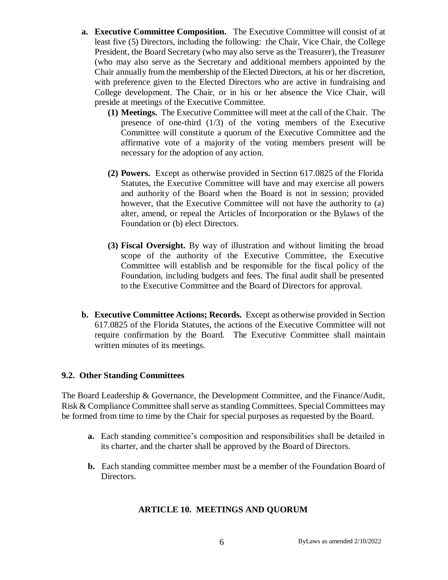- **a. Executive Committee Composition.** The Executive Committee will consist of at least five (5) Directors, including the following: the Chair, Vice Chair, the College President, the Board Secretary (who may also serve as the Treasurer), the Treasurer (who may also serve as the Secretary and additional members appointed by the Chair annually from the membership of the Elected Directors, at his or her discretion, with preference given to the Elected Directors who are active in fundraising and College development. The Chair, or in his or her absence the Vice Chair, will preside at meetings of the Executive Committee.
	- **(1) Meetings.** The Executive Committee will meet at the call of the Chair. The presence of one-third (1/3) of the voting members of the Executive Committee will constitute a quorum of the Executive Committee and the affirmative vote of a majority of the voting members present will be necessary for the adoption of any action.
	- **(2) Powers.** Except as otherwise provided in Section 617.0825 of the Florida Statutes, the Executive Committee will have and may exercise all powers and authority of the Board when the Board is not in session; provided however, that the Executive Committee will not have the authority to (a) alter, amend, or repeal the Articles of Incorporation or the Bylaws of the Foundation or (b) elect Directors.
	- **(3) Fiscal Oversight.** By way of illustration and without limiting the broad scope of the authority of the Executive Committee, the Executive Committee will establish and be responsible for the fiscal policy of the Foundation, including budgets and fees. The final audit shall be presented to the Executive Committee and the Board of Directors for approval.
- **b. Executive Committee Actions; Records.** Except as otherwise provided in Section 617.0825 of the Florida Statutes, the actions of the Executive Committee will not require confirmation by the Board. The Executive Committee shall maintain written minutes of its meetings.

## **9.2. Other Standing Committees**

The Board Leadership & Governance, the Development Committee, and the Finance/Audit, Risk & Compliance Committee shall serve as standing Committees. Special Committees may be formed from time to time by the Chair for special purposes as requested by the Board.

- **a.** Each standing committee's composition and responsibilities shall be detailed in its charter, and the charter shall be approved by the Board of Directors.
- **b.** Each standing committee member must be a member of the Foundation Board of Directors.

## **ARTICLE 10. MEETINGS AND QUORUM**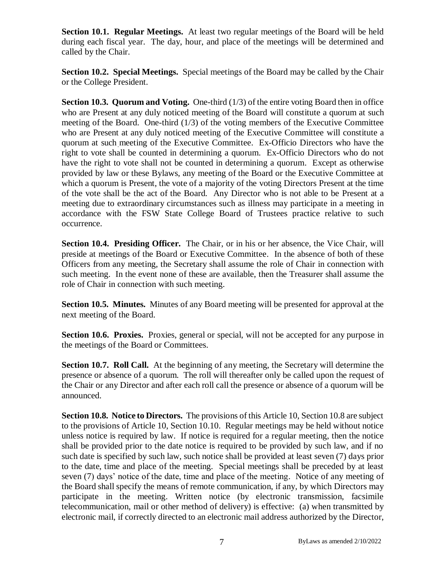**Section 10.1. Regular Meetings.** At least two regular meetings of the Board will be held during each fiscal year. The day, hour, and place of the meetings will be determined and called by the Chair.

**Section 10.2. Special Meetings.** Special meetings of the Board may be called by the Chair or the College President.

**Section 10.3. Quorum and Voting.** One-third (1/3) of the entire voting Board then in office who are Present at any duly noticed meeting of the Board will constitute a quorum at such meeting of the Board. One-third  $(1/3)$  of the voting members of the Executive Committee who are Present at any duly noticed meeting of the Executive Committee will constitute a quorum at such meeting of the Executive Committee. Ex-Officio Directors who have the right to vote shall be counted in determining a quorum. Ex-Officio Directors who do not have the right to vote shall not be counted in determining a quorum. Except as otherwise provided by law or these Bylaws, any meeting of the Board or the Executive Committee at which a quorum is Present, the vote of a majority of the voting Directors Present at the time of the vote shall be the act of the Board. Any Director who is not able to be Present at a meeting due to extraordinary circumstances such as illness may participate in a meeting in accordance with the FSW State College Board of Trustees practice relative to such occurrence.

**Section 10.4. Presiding Officer.** The Chair, or in his or her absence, the Vice Chair, will preside at meetings of the Board or Executive Committee. In the absence of both of these Officers from any meeting, the Secretary shall assume the role of Chair in connection with such meeting. In the event none of these are available, then the Treasurer shall assume the role of Chair in connection with such meeting.

**Section 10.5. Minutes.** Minutes of any Board meeting will be presented for approval at the next meeting of the Board.

**Section 10.6. Proxies.** Proxies, general or special, will not be accepted for any purpose in the meetings of the Board or Committees.

**Section 10.7. Roll Call.** At the beginning of any meeting, the Secretary will determine the presence or absence of a quorum. The roll will thereafter only be called upon the request of the Chair or any Director and after each roll call the presence or absence of a quorum will be announced.

**Section 10.8. Notice to Directors.** The provisions of this Article 10, Section 10.8 are subject to the provisions of Article 10, Section 10.10. Regular meetings may be held without notice unless notice is required by law. If notice is required for a regular meeting, then the notice shall be provided prior to the date notice is required to be provided by such law, and if no such date is specified by such law, such notice shall be provided at least seven (7) days prior to the date, time and place of the meeting. Special meetings shall be preceded by at least seven (7) days' notice of the date, time and place of the meeting. Notice of any meeting of the Board shall specify the means of remote communication, if any, by which Directors may participate in the meeting. Written notice (by electronic transmission, facsimile telecommunication, mail or other method of delivery) is effective: (a) when transmitted by electronic mail, if correctly directed to an electronic mail address authorized by the Director,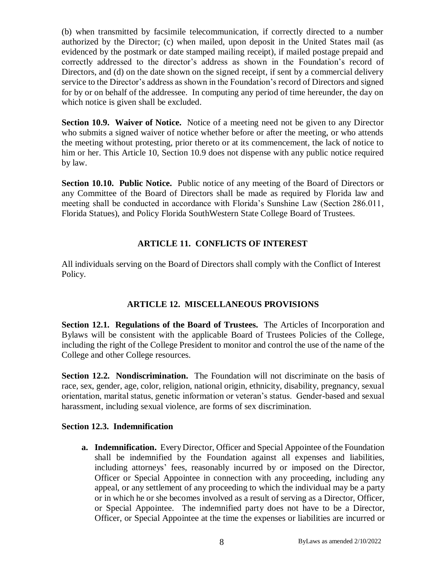(b) when transmitted by facsimile telecommunication, if correctly directed to a number authorized by the Director; (c) when mailed, upon deposit in the United States mail (as evidenced by the postmark or date stamped mailing receipt), if mailed postage prepaid and correctly addressed to the director's address as shown in the Foundation's record of Directors, and (d) on the date shown on the signed receipt, if sent by a commercial delivery service to the Director's address as shown in the Foundation's record of Directors and signed for by or on behalf of the addressee. In computing any period of time hereunder, the day on which notice is given shall be excluded.

**Section 10.9. Waiver of Notice.** Notice of a meeting need not be given to any Director who submits a signed waiver of notice whether before or after the meeting, or who attends the meeting without protesting, prior thereto or at its commencement, the lack of notice to him or her. This Article 10, Section 10.9 does not dispense with any public notice required by law.

**Section 10.10. Public Notice.** Public notice of any meeting of the Board of Directors or any Committee of the Board of Directors shall be made as required by Florida law and meeting shall be conducted in accordance with Florida's Sunshine Law (Section 286.011, Florida Statues), and Policy Florida SouthWestern State College Board of Trustees.

## **ARTICLE 11. CONFLICTS OF INTEREST**

All individuals serving on the Board of Directors shall comply with the Conflict of Interest Policy.

## **ARTICLE 12. MISCELLANEOUS PROVISIONS**

**Section 12.1. Regulations of the Board of Trustees.** The Articles of Incorporation and Bylaws will be consistent with the applicable Board of Trustees Policies of the College, including the right of the College President to monitor and control the use of the name of the College and other College resources.

**Section 12.2. Nondiscrimination.** The Foundation will not discriminate on the basis of race, sex, gender, age, color, religion, national origin, ethnicity, disability, pregnancy, sexual orientation, marital status, genetic information or veteran's status. Gender-based and sexual harassment, including sexual violence, are forms of sex discrimination.

## **Section 12.3. Indemnification**

**a. Indemnification.** EveryDirector, Officer and Special Appointee of the Foundation shall be indemnified by the Foundation against all expenses and liabilities, including attorneys' fees, reasonably incurred by or imposed on the Director, Officer or Special Appointee in connection with any proceeding, including any appeal, or any settlement of any proceeding to which the individual may be a party or in which he or she becomes involved as a result of serving as a Director, Officer, or Special Appointee. The indemnified party does not have to be a Director, Officer, or Special Appointee at the time the expenses or liabilities are incurred or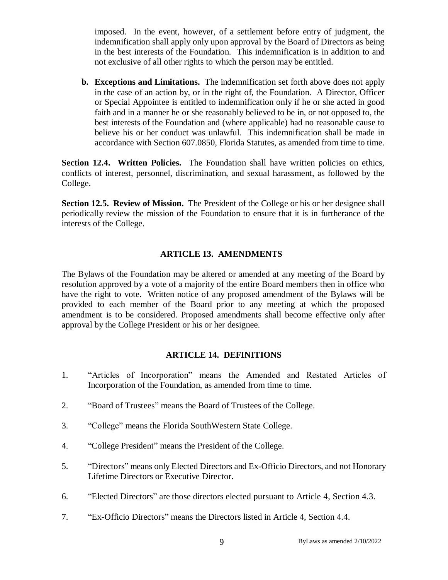imposed. In the event, however, of a settlement before entry of judgment, the indemnification shall apply only upon approval by the Board of Directors as being in the best interests of the Foundation. This indemnification is in addition to and not exclusive of all other rights to which the person may be entitled.

**b. Exceptions and Limitations.** The indemnification set forth above does not apply in the case of an action by, or in the right of, the Foundation. A Director, Officer or Special Appointee is entitled to indemnification only if he or she acted in good faith and in a manner he or she reasonably believed to be in, or not opposed to, the best interests of the Foundation and (where applicable) had no reasonable cause to believe his or her conduct was unlawful. This indemnification shall be made in accordance with Section 607.0850, Florida Statutes, as amended from time to time.

**Section 12.4. Written Policies.** The Foundation shall have written policies on ethics, conflicts of interest, personnel, discrimination, and sexual harassment, as followed by the College.

**Section 12.5. Review of Mission.** The President of the College or his or her designee shall periodically review the mission of the Foundation to ensure that it is in furtherance of the interests of the College.

## **ARTICLE 13. AMENDMENTS**

The Bylaws of the Foundation may be altered or amended at any meeting of the Board by resolution approved by a vote of a majority of the entire Board members then in office who have the right to vote. Written notice of any proposed amendment of the Bylaws will be provided to each member of the Board prior to any meeting at which the proposed amendment is to be considered. Proposed amendments shall become effective only after approval by the College President or his or her designee.

#### **ARTICLE 14. DEFINITIONS**

- 1. "Articles of Incorporation" means the Amended and Restated Articles of Incorporation of the Foundation, as amended from time to time.
- 2. "Board of Trustees" means the Board of Trustees of the College.
- 3. "College" means the Florida SouthWestern State College.
- 4. "College President" means the President of the College.
- 5. "Directors" means only Elected Directors and Ex-Officio Directors, and not Honorary Lifetime Directors or Executive Director.
- 6. "Elected Directors" are those directors elected pursuant to Article 4, Section 4.3.
- 7. "Ex-Officio Directors" means the Directors listed in Article 4, Section 4.4.